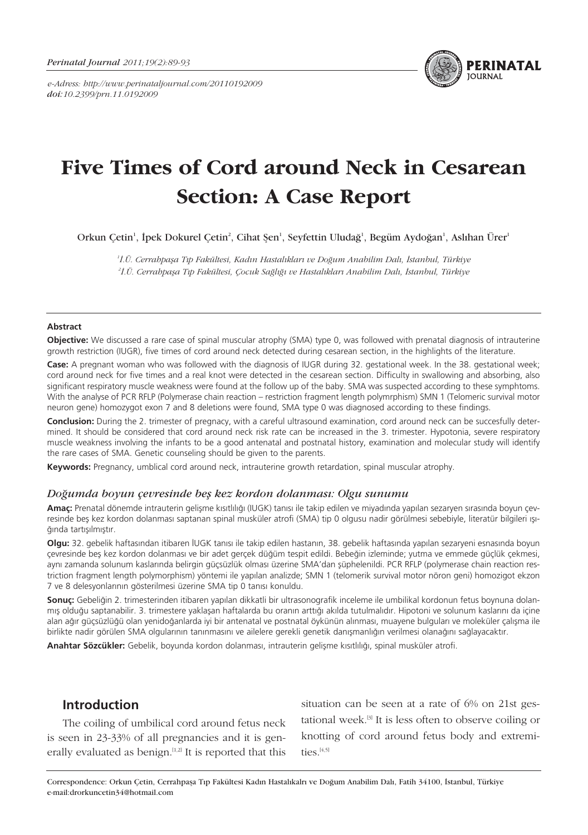*e-Adress: http://www.perinataljournal.com/20110192009 doi:10.2399/prn.11.0192009*



# **Five Times of Cord around Neck in Cesarean Section: A Case Report**

Orkun Çetin<sup>1</sup>, İpek Dokurel Çetin<sup>2</sup>, Cihat Şen<sup>1</sup>, Seyfettin Uludağ<sup>1</sup>, Begüm Aydoğan<sup>1</sup>, Aslıhan Ürer<sup>1</sup>

<sup>1</sup>İ.Ü. Cerrahpaşa Tıp Fakültesi, Kadın Hastalıkları ve Doğum Anabilim Dalı, İstanbul, Türkiye <sup>2</sup>İ.Ü. Cerrahpaşa Tıp Fakültesi, Çocuk Sağlığı ve Hastalıkları Anabilim Dalı, İstanbul, Türkiye

#### **Abstract**

**Objective:** We discussed a rare case of spinal muscular atrophy (SMA) type 0, was followed with prenatal diagnosis of intrauterine growth restriction (IUGR), five times of cord around neck detected during cesarean section, in the highlights of the literature.

**Case:** A pregnant woman who was followed with the diagnosis of IUGR during 32. gestational week. In the 38. gestational week; cord around neck for five times and a real knot were detected in the cesarean section. Difficulty in swallowing and absorbing, also significant respiratory muscle weakness were found at the follow up of the baby. SMA was suspected according to these symphtoms. With the analyse of PCR RFLP (Polymerase chain reaction – restriction fragment length polymrphism) SMN 1 (Telomeric survival motor neuron gene) homozygot exon 7 and 8 deletions were found, SMA type 0 was diagnosed according to these findings.

**Conclusion:** During the 2. trimester of pregnacy, with a careful ultrasound examination, cord around neck can be succesfully determined. It should be considered that cord around neck risk rate can be increased in the 3. trimester. Hypotonia, severe respiratory muscle weakness involving the infants to be a good antenatal and postnatal history, examination and molecular study will identify the rare cases of SMA. Genetic counseling should be given to the parents.

**Keywords:** Pregnancy, umblical cord around neck, intrauterine growth retardation, spinal muscular atrophy.

#### *Do¤umda boyun çevresinde befl kez kordon dolanmas›: Olgu sunumu*

Amaç: Prenatal dönemde intrauterin gelişme kısıtlılığı (IUGK) tanısı ile takip edilen ve miyadında yapılan sezaryen sırasında boyun çevresinde beş kez kordon dolanması saptanan spinal musküler atrofi (SMA) tip 0 olgusu nadir görülmesi sebebiyle, literatür bilgileri ışığında tartısılmıştır.

**Olgu:** 32. gebelik haftasından itibaren IUGK tanısı ile takip edilen hastanın, 38. gebelik haftasında yapılan sezaryeni esnasında boyun çevresinde beş kez kordon dolanması ve bir adet gerçek düğüm tespit edildi. Bebeğin izleminde; yutma ve emmede güçlük çekmesi, aynı zamanda solunum kaslarında belirgin güçsüzlük olması üzerine SMA'dan süphelenildi. PCR RFLP (polymerase chain reaction restriction fragment length polymorphism) yöntemi ile yapılan analizde; SMN 1 (telomerik survival motor nöron geni) homozigot ekzon 7 ve 8 delesyonlarının gösterilmesi üzerine SMA tip 0 tanısı konuldu.

Sonuç: Gebeliğin 2. trimesterinden itibaren yapılan dikkatli bir ultrasonografik inceleme ile umbilikal kordonun fetus boynuna dolanmış olduğu saptanabilir. 3. trimestere yaklaşan haftalarda bu oranın arttığı akılda tutulmalıdır. Hipotoni ve solunum kaslarını da içine alan ağır güçsüzlüğü olan yenidoğanlarda iyi bir antenatal ve postnatal öykünün alınması, muayene bulguları ve moleküler çalışma ile birlikte nadir görülen SMA olgularının tanınmasını ve ailelere gerekli genetik danısmanlığın verilmesi olanağını sağlayacaktır.

**Anahtar Sözcükler:** Gebelik, boyunda kordon dolanması, intrauterin gelisme kısıtlılığı, spinal musküler atrofi.

# **Introduction**

The coiling of umbilical cord around fetus neck is seen in 23-33% of all pregnancies and it is generally evaluated as benign.<sup>[1,2]</sup> It is reported that this

situation can be seen at a rate of 6% on 21st gestational week.[3] It is less often to observe coiling or knotting of cord around fetus body and extremities.<sup>[4,5]</sup>

Correspondence: Orkun Çetin, Cerrahpaşa Tıp Fakültesi Kadın Hastalıkalrı ve Doğum Anabilim Dalı, Fatih 34100, İstanbul, Türkiye e-mail:drorkuncetin34@hotmail.com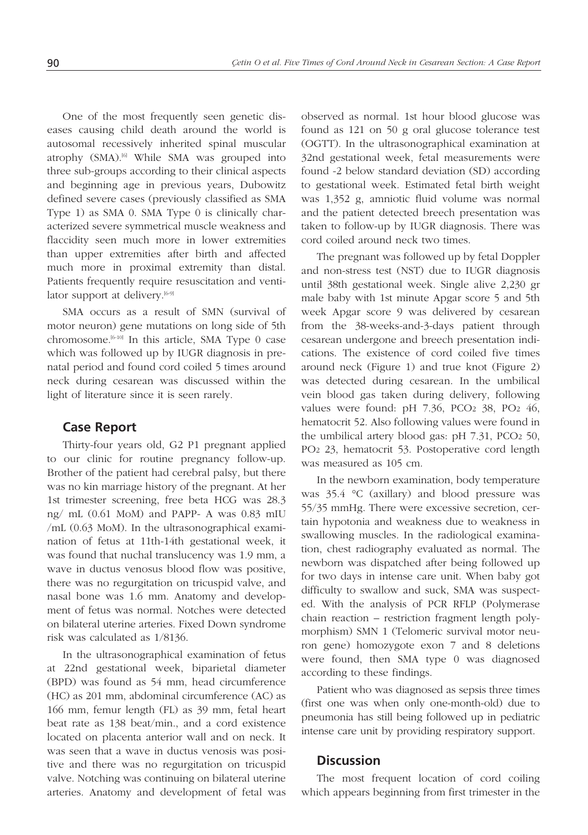One of the most frequently seen genetic diseases causing child death around the world is autosomal recessively inherited spinal muscular atrophy (SMA).<sup>[6]</sup> While SMA was grouped into three sub-groups according to their clinical aspects and beginning age in previous years, Dubowitz defined severe cases (previously classified as SMA Type 1) as SMA 0. SMA Type 0 is clinically characterized severe symmetrical muscle weakness and flaccidity seen much more in lower extremities than upper extremities after birth and affected much more in proximal extremity than distal. Patients frequently require resuscitation and ventilator support at delivery.<sup>[6-9]</sup>

SMA occurs as a result of SMN (survival of motor neuron) gene mutations on long side of 5th chromosome.<sup>[6-10]</sup> In this article, SMA Type 0 case which was followed up by IUGR diagnosis in prenatal period and found cord coiled 5 times around neck during cesarean was discussed within the light of literature since it is seen rarely.

### **Case Report**

Thirty-four years old, G2 P1 pregnant applied to our clinic for routine pregnancy follow-up. Brother of the patient had cerebral palsy, but there was no kin marriage history of the pregnant. At her 1st trimester screening, free beta HCG was 28.3 ng/ mL (0.61 MoM) and PAPP- A was 0.83 mIU /mL (0.63 MoM). In the ultrasonographical examination of fetus at 11th-14th gestational week, it was found that nuchal translucency was 1.9 mm, a wave in ductus venosus blood flow was positive, there was no regurgitation on tricuspid valve, and nasal bone was 1.6 mm. Anatomy and development of fetus was normal. Notches were detected on bilateral uterine arteries. Fixed Down syndrome risk was calculated as 1/8136.

In the ultrasonographical examination of fetus at 22nd gestational week, biparietal diameter (BPD) was found as 54 mm, head circumference (HC) as 201 mm, abdominal circumference (AC) as 166 mm, femur length (FL) as 39 mm, fetal heart beat rate as 138 beat/min., and a cord existence located on placenta anterior wall and on neck. It was seen that a wave in ductus venosis was positive and there was no regurgitation on tricuspid valve. Notching was continuing on bilateral uterine arteries. Anatomy and development of fetal was

observed as normal. 1st hour blood glucose was found as 121 on 50 g oral glucose tolerance test (OGTT). In the ultrasonographical examination at 32nd gestational week, fetal measurements were found -2 below standard deviation (SD) according to gestational week. Estimated fetal birth weight was 1,352 g, amniotic fluid volume was normal and the patient detected breech presentation was taken to follow-up by IUGR diagnosis. There was cord coiled around neck two times.

The pregnant was followed up by fetal Doppler and non-stress test (NST) due to IUGR diagnosis until 38th gestational week. Single alive 2,230 gr male baby with 1st minute Apgar score 5 and 5th week Apgar score 9 was delivered by cesarean from the 38-weeks-and-3-days patient through cesarean undergone and breech presentation indications. The existence of cord coiled five times around neck (Figure 1) and true knot (Figure 2) was detected during cesarean. In the umbilical vein blood gas taken during delivery, following values were found: pH 7.36, PCO2 38, PO2 46, hematocrit 52. Also following values were found in the umbilical artery blood gas: pH 7.31, PCO2 50, PO2 23, hematocrit 53. Postoperative cord length was measured as 105 cm.

In the newborn examination, body temperature was 35.4 °C (axillary) and blood pressure was 55/35 mmHg. There were excessive secretion, certain hypotonia and weakness due to weakness in swallowing muscles. In the radiological examination, chest radiography evaluated as normal. The newborn was dispatched after being followed up for two days in intense care unit. When baby got difficulty to swallow and suck, SMA was suspected. With the analysis of PCR RFLP (Polymerase chain reaction – restriction fragment length polymorphism) SMN 1 (Telomeric survival motor neuron gene) homozygote exon 7 and 8 deletions were found, then SMA type 0 was diagnosed according to these findings.

Patient who was diagnosed as sepsis three times (first one was when only one-month-old) due to pneumonia has still being followed up in pediatric intense care unit by providing respiratory support.

# **Discussion**

The most frequent location of cord coiling which appears beginning from first trimester in the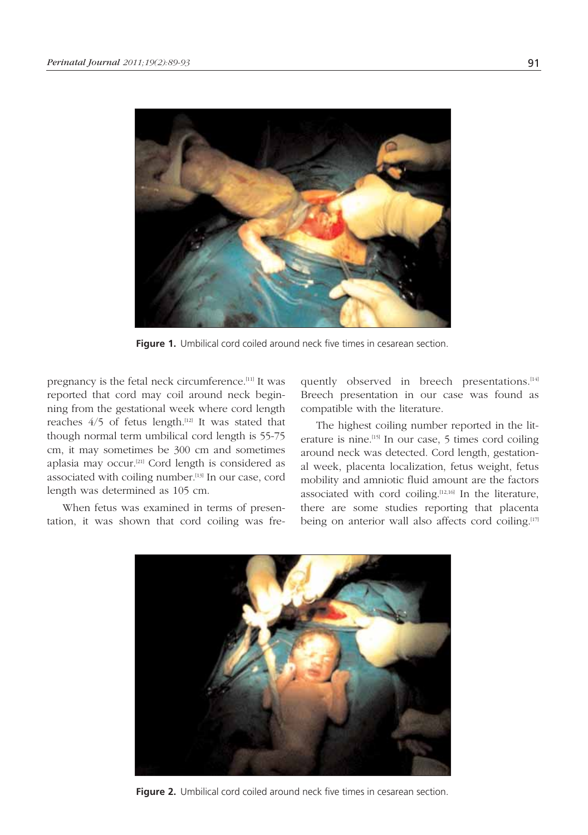

Figure 1. Umbilical cord coiled around neck five times in cesarean section.

pregnancy is the fetal neck circumference.[11] It was reported that cord may coil around neck beginning from the gestational week where cord length reaches  $4/5$  of fetus length.<sup>[12]</sup> It was stated that though normal term umbilical cord length is 55-75 cm, it may sometimes be 300 cm and sometimes aplasia may occur.[21] Cord length is considered as associated with coiling number.<sup>[13]</sup> In our case, cord length was determined as 105 cm.

When fetus was examined in terms of presentation, it was shown that cord coiling was frequently observed in breech presentations.<sup>[14]</sup> Breech presentation in our case was found as compatible with the literature.

The highest coiling number reported in the literature is nine.[15] In our case, 5 times cord coiling around neck was detected. Cord length, gestational week, placenta localization, fetus weight, fetus mobility and amniotic fluid amount are the factors associated with cord coiling.<sup>[12,16]</sup> In the literature, there are some studies reporting that placenta being on anterior wall also affects cord coiling.<sup>[17]</sup>



Figure 2. Umbilical cord coiled around neck five times in cesarean section.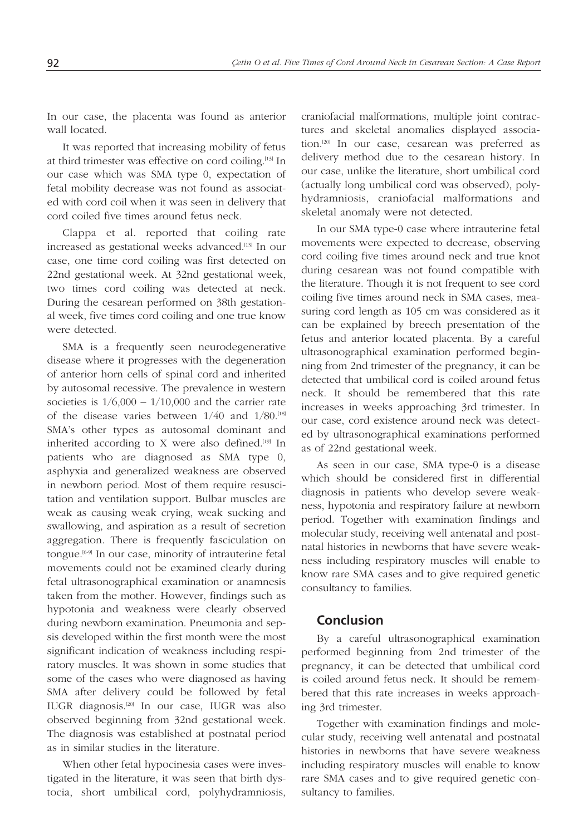In our case, the placenta was found as anterior wall located.

It was reported that increasing mobility of fetus at third trimester was effective on cord coiling.[13] In our case which was SMA type 0, expectation of fetal mobility decrease was not found as associated with cord coil when it was seen in delivery that cord coiled five times around fetus neck.

Clappa et al. reported that coiling rate increased as gestational weeks advanced.[13] In our case, one time cord coiling was first detected on 22nd gestational week. At 32nd gestational week, two times cord coiling was detected at neck. During the cesarean performed on 38th gestational week, five times cord coiling and one true know were detected.

SMA is a frequently seen neurodegenerative disease where it progresses with the degeneration of anterior horn cells of spinal cord and inherited by autosomal recessive. The prevalence in western societies is  $1/6,000 - 1/10,000$  and the carrier rate of the disease varies between  $1/40$  and  $1/80$ .<sup>[18]</sup> SMA's other types as autosomal dominant and inherited according to X were also defined.<sup>[19]</sup> In patients who are diagnosed as SMA type 0, asphyxia and generalized weakness are observed in newborn period. Most of them require resuscitation and ventilation support. Bulbar muscles are weak as causing weak crying, weak sucking and swallowing, and aspiration as a result of secretion aggregation. There is frequently fasciculation on tongue.[6-9] In our case, minority of intrauterine fetal movements could not be examined clearly during fetal ultrasonographical examination or anamnesis taken from the mother. However, findings such as hypotonia and weakness were clearly observed during newborn examination. Pneumonia and sepsis developed within the first month were the most significant indication of weakness including respiratory muscles. It was shown in some studies that some of the cases who were diagnosed as having SMA after delivery could be followed by fetal IUGR diagnosis.[20] In our case, IUGR was also observed beginning from 32nd gestational week. The diagnosis was established at postnatal period as in similar studies in the literature.

When other fetal hypocinesia cases were investigated in the literature, it was seen that birth dystocia, short umbilical cord, polyhydramniosis,

craniofacial malformations, multiple joint contractures and skeletal anomalies displayed association.[20] In our case, cesarean was preferred as delivery method due to the cesarean history. In our case, unlike the literature, short umbilical cord (actually long umbilical cord was observed), polyhydramniosis, craniofacial malformations and skeletal anomaly were not detected.

In our SMA type-0 case where intrauterine fetal movements were expected to decrease, observing cord coiling five times around neck and true knot during cesarean was not found compatible with the literature. Though it is not frequent to see cord coiling five times around neck in SMA cases, measuring cord length as 105 cm was considered as it can be explained by breech presentation of the fetus and anterior located placenta. By a careful ultrasonographical examination performed beginning from 2nd trimester of the pregnancy, it can be detected that umbilical cord is coiled around fetus neck. It should be remembered that this rate increases in weeks approaching 3rd trimester. In our case, cord existence around neck was detected by ultrasonographical examinations performed as of 22nd gestational week.

As seen in our case, SMA type-0 is a disease which should be considered first in differential diagnosis in patients who develop severe weakness, hypotonia and respiratory failure at newborn period. Together with examination findings and molecular study, receiving well antenatal and postnatal histories in newborns that have severe weakness including respiratory muscles will enable to know rare SMA cases and to give required genetic consultancy to families.

# **Conclusion**

By a careful ultrasonographical examination performed beginning from 2nd trimester of the pregnancy, it can be detected that umbilical cord is coiled around fetus neck. It should be remembered that this rate increases in weeks approaching 3rd trimester.

Together with examination findings and molecular study, receiving well antenatal and postnatal histories in newborns that have severe weakness including respiratory muscles will enable to know rare SMA cases and to give required genetic consultancy to families.